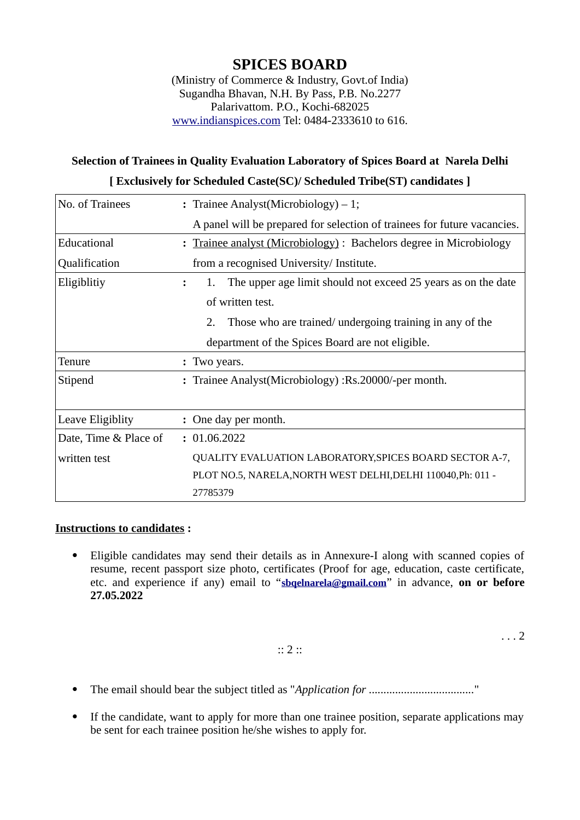# **SPICES BOARD**

(Ministry of Commerce & Industry, Govt.of India) Sugandha Bhavan, N.H. By Pass, P.B. No.2277 Palarivattom. P.O., Kochi-682025 www.indianspices.com Tel: 0484-2333610 to 616.

## **Selection of Trainees in Quality Evaluation Laboratory of Spices Board at Narela Delhi [ Exclusively for Scheduled Caste(SC)/ Scheduled Tribe(ST) candidates ]**

| No. of Trainees       | : Trainee Analyst(Microbiology) $-1$ ;                                   |  |  |  |
|-----------------------|--------------------------------------------------------------------------|--|--|--|
|                       | A panel will be prepared for selection of trainees for future vacancies. |  |  |  |
| Educational           | : Trainee analyst (Microbiology) : Bachelors degree in Microbiology      |  |  |  |
| Qualification         | from a recognised University/ Institute.                                 |  |  |  |
| Eligiblitiy           | The upper age limit should not exceed 25 years as on the date<br>1.      |  |  |  |
|                       | of written test.                                                         |  |  |  |
|                       | Those who are trained/ undergoing training in any of the<br>2.           |  |  |  |
|                       | department of the Spices Board are not eligible.                         |  |  |  |
| Tenure                | : Two years.                                                             |  |  |  |
| Stipend               | : Trainee Analyst(Microbiology) : Rs.20000/-per month.                   |  |  |  |
|                       |                                                                          |  |  |  |
| Leave Eligiblity      | : One day per month.                                                     |  |  |  |
| Date, Time & Place of | : 01.06.2022                                                             |  |  |  |
| written test          | QUALITY EVALUATION LABORATORY, SPICES BOARD SECTOR A-7,                  |  |  |  |
|                       | PLOT NO.5, NARELA, NORTH WEST DELHI, DELHI 110040, Ph: 011 -             |  |  |  |
|                       | 27785379                                                                 |  |  |  |

#### **Instructions to candidates :**

 Eligible candidates may send their details as in Annexure-I along with scanned copies of resume, recent passport size photo, certificates (Proof for age, education, caste certificate, etc. and experience if any) email to "**sbqelnarela@gmail.com**" in advance, **on or before 27.05.2022**

:: 2 ::

. . . 2

- The email should bear the subject titled as "*Application for ....................................*"
- If the candidate, want to apply for more than one trainee position, separate applications may be sent for each trainee position he/she wishes to apply for.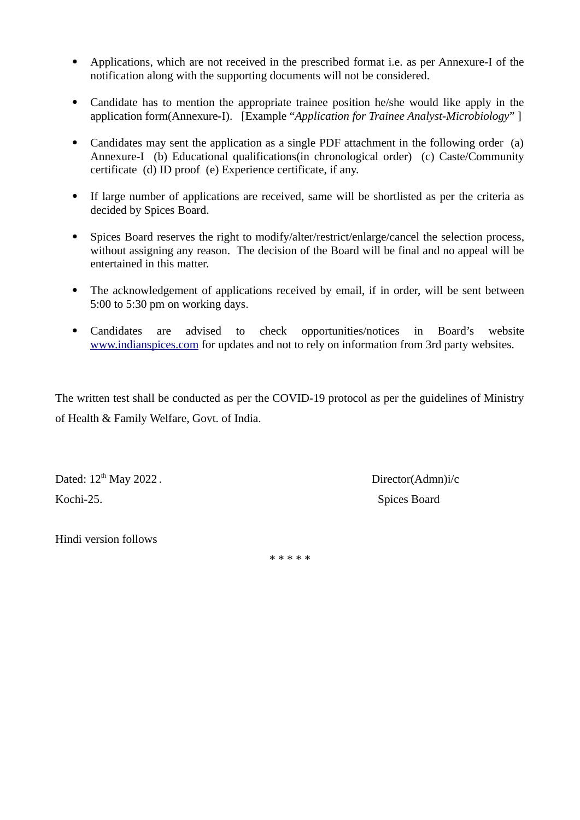- Applications, which are not received in the prescribed format i.e. as per Annexure-I of the notification along with the supporting documents will not be considered.
- Candidate has to mention the appropriate trainee position he/she would like apply in the application form(Annexure-I). [Example "*Application for Trainee Analyst-Microbiology*" ]
- Candidates may sent the application as a single PDF attachment in the following order (a) Annexure-I (b) Educational qualifications(in chronological order) (c) Caste/Community certificate (d) ID proof (e) Experience certificate, if any.
- If large number of applications are received, same will be shortlisted as per the criteria as decided by Spices Board.
- Spices Board reserves the right to modify/alter/restrict/enlarge/cancel the selection process, without assigning any reason. The decision of the Board will be final and no appeal will be entertained in this matter.
- The acknowledgement of applications received by email, if in order, will be sent between 5:00 to 5:30 pm on working days.
- Candidates are advised to check opportunities/notices in Board's website www.indianspices.com for updates and not to rely on information from 3rd party websites.

The written test shall be conducted as per the COVID-19 protocol as per the guidelines of Ministry of Health & Family Welfare, Govt. of India.

Dated:  $12<sup>th</sup>$  May 2022 . Kochi-25. Spices Board

Hindi version follows

\* \* \* \* \*